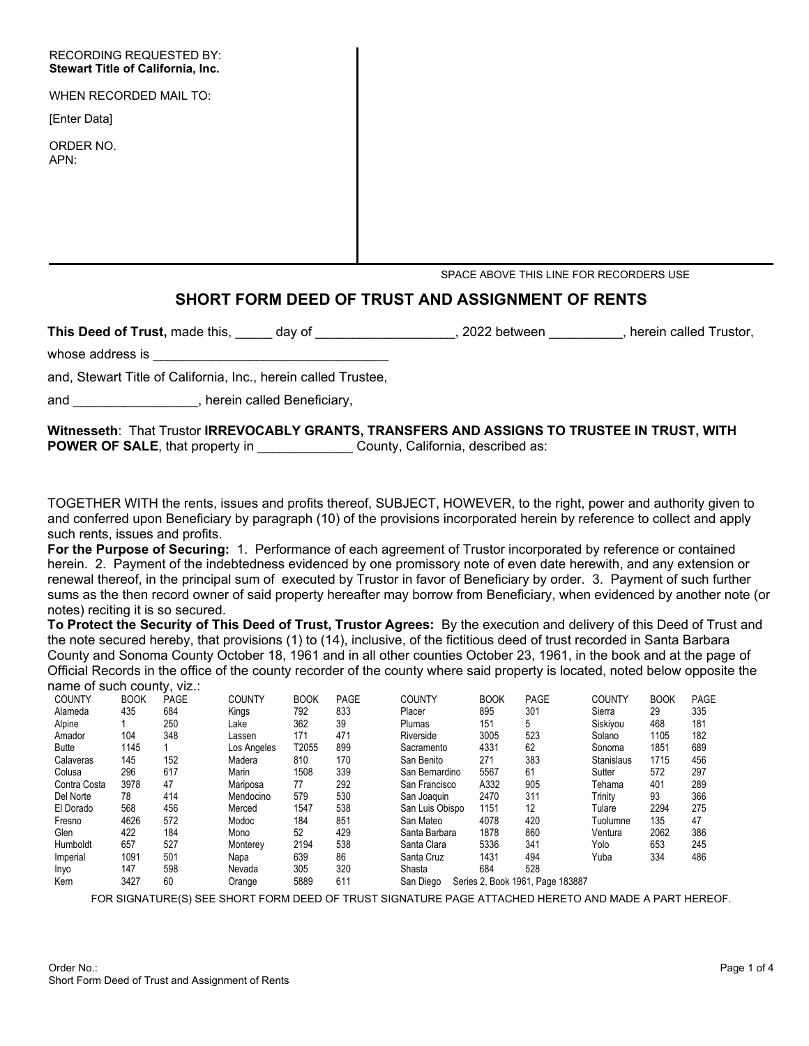### RECORDING REQUESTED BY: **Stewart Title of California, Inc.**

WHEN RECORDED MAIL TO:

[Enter Data]

ORDER NO. APN:

SPACE ABOVE THIS LINE FOR RECORDERS USE

# **SHORT FORM DEED OF TRUST AND ASSIGNMENT OF RENTS**

This Deed of Trust, made this, \_\_\_\_\_ day of \_\_\_\_\_\_\_\_\_\_\_\_\_\_\_\_\_\_, 2022 between , herein called Trustor,

whose address is

and, Stewart Title of California, Inc., herein called Trustee,

and \_\_\_\_\_\_\_\_\_\_\_\_\_\_\_\_\_, herein called Beneficiary,

**Witnesseth**: That Trustor **IRREVOCABLY GRANTS, TRANSFERS AND ASSIGNS TO TRUSTEE IN TRUST, WITH POWER OF SALE**, that property in **COULD COUNTY**, California, described as:

TOGETHER WITH the rents, issues and profits thereof, SUBJECT, HOWEVER, to the right, power and authority given to and conferred upon Beneficiary by paragraph (10) of the provisions incorporated herein by reference to collect and apply such rents, issues and profits.

**For the Purpose of Securing:** 1. Performance of each agreement of Trustor incorporated by reference or contained herein. 2. Payment of the indebtedness evidenced by one promissory note of even date herewith, and any extension or renewal thereof, in the principal sum of executed by Trustor in favor of Beneficiary by order. 3. Payment of such further sums as the then record owner of said property hereafter may borrow from Beneficiary, when evidenced by another note (or notes) reciting it is so secured.

**To Protect the Security of This Deed of Trust, Trustor Agrees:** By the execution and delivery of this Deed of Trust and the note secured hereby, that provisions (1) to (14), inclusive, of the fictitious deed of trust recorded in Santa Barbara County and Sonoma County October 18, 1961 and in all other counties October 23, 1961, in the book and at the page of Official Records in the office of the county recorder of the county where said property is located, noted below opposite the name of such county, viz.:

|               |             | . .  |               |             |             |                 |             |                                  |                   |             |             |
|---------------|-------------|------|---------------|-------------|-------------|-----------------|-------------|----------------------------------|-------------------|-------------|-------------|
| <b>COUNTY</b> | <b>BOOK</b> | PAGE | <b>COUNTY</b> | <b>BOOK</b> | <b>PAGE</b> | <b>COUNTY</b>   | <b>BOOK</b> | PAGE                             | <b>COUNTY</b>     | <b>BOOK</b> | <b>PAGE</b> |
| Alameda       | 435         | 684  | Kings         | 792         | 833         | Placer          | 895         | 301                              | Sierra            | 29          | 335         |
| Alpine        |             | 250  | Lake          | 362         | 39          | Plumas          | 151         | 5                                | Siskivou          | 468         | 181         |
| Amador        | 104         | 348  | Lassen        | 171         | 471         | Riverside       | 3005        | 523                              | Solano            | 1105        | 182         |
| <b>Butte</b>  | 1145        |      | Los Angeles   | T2055       | 899         | Sacramento      | 4331        | 62                               | Sonoma            | 1851        | 689         |
| Calaveras     | 145         | 152  | Madera        | 810         | 170         | San Benito      | 271         | 383                              | <b>Stanislaus</b> | 1715        | 456         |
| Colusa        | 296         | 617  | Marin         | 1508        | 339         | San Bernardino  | 5567        | 61                               | Sutter            | 572         | 297         |
| Contra Costa  | 3978        | 47   | Mariposa      | 77          | 292         | San Francisco   | A332        | 905                              | Tehama            | 401         | 289         |
| Del Norte     | 78          | 414  | Mendocino     | 579         | 530         | San Joaquin     | 2470        | 311                              | Trinity           | 93          | 366         |
| El Dorado     | 568         | 456  | Merced        | 1547        | 538         | San Luis Obispo | 1151        | 12                               | Tulare            | 2294        | 275         |
| Fresno        | 4626        | 572  | Modoc         | 184         | 851         | San Mateo       | 4078        | 420                              | Tuolumne          | 135         | 47          |
| Glen          | 422         | 184  | Mono          | 52          | 429         | Santa Barbara   | 1878        | 860                              | Ventura           | 2062        | 386         |
| Humboldt      | 657         | 527  | Monterey      | 2194        | 538         | Santa Clara     | 5336        | 341                              | Yolo              | 653         | 245         |
| Imperial      | 1091        | 501  | Napa          | 639         | 86          | Santa Cruz      | 1431        | 494                              | Yuba              | 334         | 486         |
| Inyo          | 147         | 598  | Nevada        | 305         | 320         | Shasta          | 684         | 528                              |                   |             |             |
| Kern          | 3427        | 60   | Orange        | 5889        | 611         | San Diego       |             | Series 2, Book 1961, Page 183887 |                   |             |             |
|               |             |      |               |             |             |                 |             |                                  |                   |             |             |

FOR SIGNATURE(S) SEE SHORT FORM DEED OF TRUST SIGNATURE PAGE ATTACHED HERETO AND MADE A PART HEREOF.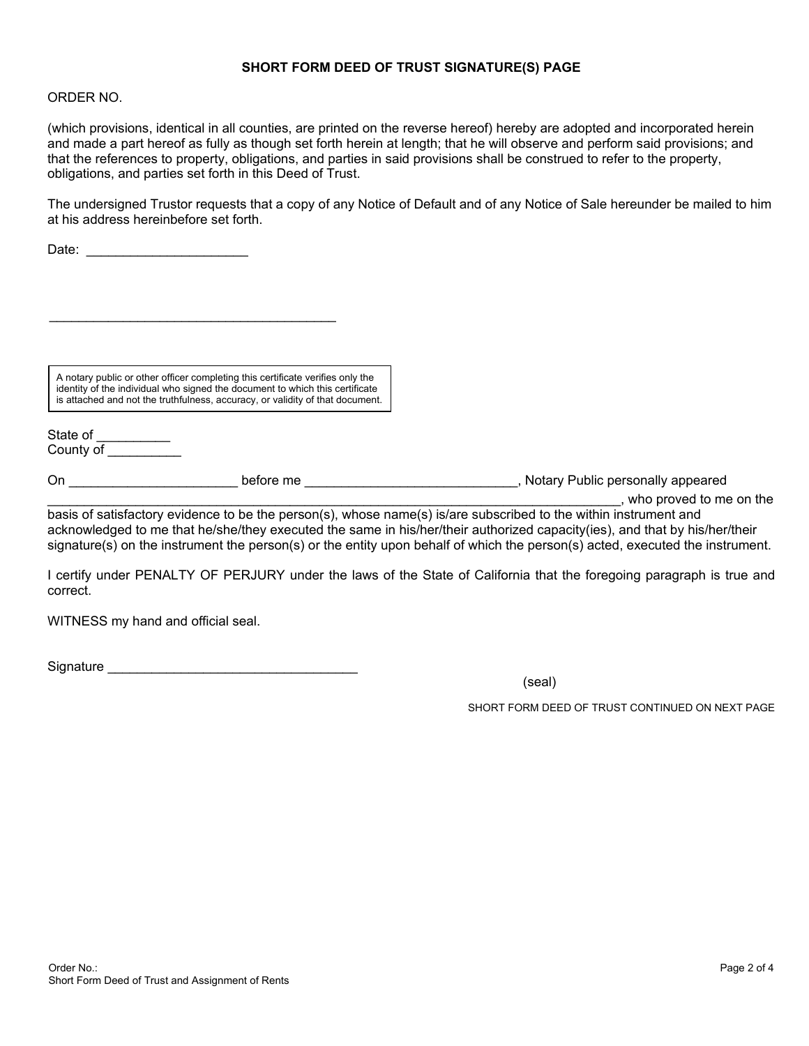## **SHORT FORM DEED OF TRUST SIGNATURE(S) PAGE**

## ORDER NO.

(which provisions, identical in all counties, are printed on the reverse hereof) hereby are adopted and incorporated herein and made a part hereof as fully as though set forth herein at length; that he will observe and perform said provisions; and that the references to property, obligations, and parties in said provisions shall be construed to refer to the property, obligations, and parties set forth in this Deed of Trust.

The undersigned Trustor requests that a copy of any Notice of Default and of any Notice of Sale hereunder be mailed to him at his address hereinbefore set forth.

Date: \_\_\_\_\_\_\_\_\_\_\_\_\_\_\_\_\_\_\_\_\_\_

A notary public or other officer completing this certificate verifies only the identity of the individual who signed the document to which this certificate is attached and not the truthfulness, accuracy, or validity of that document.

State of \_\_\_\_\_\_\_\_\_\_ County of **with the county of the county** 

\_\_\_\_\_\_\_\_\_\_\_\_\_\_\_\_\_\_\_\_\_\_\_\_\_\_\_\_\_\_\_\_\_\_\_\_\_\_\_

On \_\_\_\_\_\_\_\_\_\_\_\_\_\_\_\_\_\_\_\_\_\_\_ before me \_\_\_\_\_\_\_\_\_\_\_\_\_\_\_\_\_\_\_\_\_\_\_\_\_\_\_\_\_, Notary Public personally appeared

\_\_\_\_\_\_\_\_\_\_\_\_\_\_\_\_\_\_\_\_\_\_\_\_\_\_\_\_\_\_\_\_\_\_\_\_\_\_\_\_\_\_\_\_\_\_\_\_\_\_\_\_\_\_\_\_\_\_\_\_\_\_\_\_\_\_\_\_\_\_\_\_\_\_\_\_\_\_, who proved to me on the basis of satisfactory evidence to be the person(s), whose name(s) is/are subscribed to the within instrument and acknowledged to me that he/she/they executed the same in his/her/their authorized capacity(ies), and that by his/her/their signature(s) on the instrument the person(s) or the entity upon behalf of which the person(s) acted, executed the instrument.

I certify under PENALTY OF PERJURY under the laws of the State of California that the foregoing paragraph is true and correct.

WITNESS my hand and official seal.

Signature \_\_\_\_\_\_\_\_\_\_\_\_\_\_\_\_\_\_\_\_\_\_\_\_\_\_\_\_\_\_\_\_\_\_

(seal)

SHORT FORM DEED OF TRUST CONTINUED ON NEXT PAGE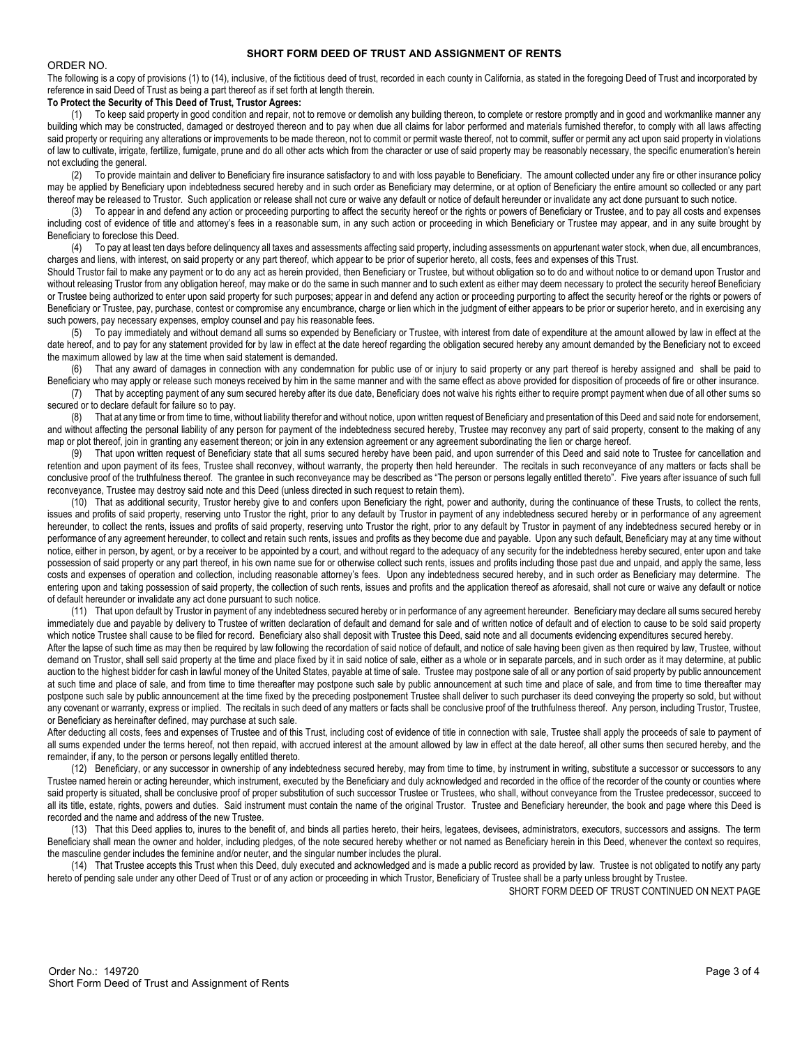#### **SHORT FORM DEED OF TRUST AND ASSIGNMENT OF RENTS**

#### ORDER NO.

The following is a copy of provisions (1) to (14), inclusive, of the fictitious deed of trust, recorded in each county in California, as stated in the foregoing Deed of Trust and incorporated by reference in said Deed of Trust as being a part thereof as if set forth at length therein.

## **To Protect the Security of This Deed of Trust, Trustor Agrees:**

(1) To keep said property in good condition and repair, not to remove or demolish any building thereon, to complete or restore promptly and in good and workmanlike manner any building which may be constructed, damaged or destroyed thereon and to pay when due all claims for labor performed and materials furnished therefor, to comply with all laws affecting said property or requiring any alterations or improvements to be made thereon, not to commit or permit waste thereof, not to commit, suffer or permit any act upon said property in violations of law to cultivate, irrigate, fertilize, fumigate, prune and do all other acts which from the character or use of said property may be reasonably necessary, the specific enumeration's herein not excluding the general.

(2) To provide maintain and deliver to Beneficiary fire insurance satisfactory to and with loss payable to Beneficiary. The amount collected under any fire or other insurance policy may be applied by Beneficiary upon indebtedness secured hereby and in such order as Beneficiary may determine, or at option of Beneficiary the entire amount so collected or any part thereof may be released to Trustor. Such application or release shall not cure or waive any default or notice of default hereunder or invalidate any act done pursuant to such notice.

(3) To appear in and defend any action or proceeding purporting to affect the security hereof or the rights or powers of Beneficiary or Trustee, and to pay all costs and expenses including cost of evidence of title and attorney's fees in a reasonable sum, in any such action or proceeding in which Beneficiary or Trustee may appear, and in any suite brought by Beneficiary to foreclose this Deed.

(4) To pay at least ten days before delinquency all taxes and assessments affecting said property, including assessments on appurtenant water stock, when due, all encumbrances, charges and liens, with interest, on said property or any part thereof, which appear to be prior of superior hereto, all costs, fees and expenses of this Trust.

Should Trustor fail to make any payment or to do any act as herein provided, then Beneficiary or Trustee, but without obligation so to do and without notice to or demand upon Trustor and without releasing Trustor from any obligation hereof, may make or do the same in such manner and to such extent as either may deem necessary to protect the security hereof Beneficiary or Trustee being authorized to enter upon said property for such purposes; appear in and defend any action or proceeding purporting to affect the security hereof or the rights or powers of Beneficiary or Trustee, pay, purchase, contest or compromise any encumbrance, charge or lien which in the judgment of either appears to be prior or superior hereto, and in exercising any such powers, pay necessary expenses, employ counsel and pay his reasonable fees.

(5) To pay immediately and without demand all sums so expended by Beneficiary or Trustee, with interest from date of expenditure at the amount allowed by law in effect at the date hereof, and to pay for any statement provided for by law in effect at the date hereof regarding the obligation secured hereby any amount demanded by the Beneficiary not to exceed the maximum allowed by law at the time when said statement is demanded.

That any award of damages in connection with any condemnation for public use of or injury to said property or any part thereof is hereby assigned and shall be paid to Beneficiary who may apply or release such moneys received by him in the same manner and with the same effect as above provided for disposition of proceeds of fire or other insurance.

(7) That by accepting payment of any sum secured hereby after its due date, Beneficiary does not waive his rights either to require prompt payment when due of all other sums so secured or to declare default for failure so to pay.

(8) That at any time or from time to time, without liability therefor and without notice, upon written request of Beneficiary and presentation of this Deed and said note for endorsement, and without affecting the personal liability of any person for payment of the indebtedness secured hereby. Trustee may reconvey any part of said property, consent to the making of any map or plot thereof, join in granting any easement thereon; or join in any extension agreement or any agreement subordinating the lien or charge hereof.

(9) That upon written request of Beneficiary state that all sums secured hereby have been paid, and upon surrender of this Deed and said note to Trustee for cancellation and retention and upon payment of its fees, Trustee shall reconvey, without warranty, the property then held hereunder. The recitals in such reconveyance of any matters or facts shall be conclusive proof of the truthfulness thereof. The grantee in such reconveyance may be described as "The person or persons legally entitled thereto". Five years after issuance of such full reconveyance, Trustee may destroy said note and this Deed (unless directed in such request to retain them).

(10) That as additional security, Trustor hereby give to and confers upon Beneficiary the right, power and authority, during the continuance of these Trusts, to collect the rents, issues and profits of said property, reserving unto Trustor the right, prior to any default by Trustor in payment of any indebtedness secured hereby or in performance of any agreement hereunder, to collect the rents, issues and profits of said property, reserving unto Trustor the right, prior to any default by Trustor in payment of any indebtedness secured hereby or in performance of any agreement hereunder, to collect and retain such rents, issues and profits as they become due and payable. Upon any such default, Beneficiary may at any time without notice, either in person, by agent, or by a receiver to be appointed by a court, and without regard to the adequacy of any security for the indebtedness hereby secured, enter upon and take possession of said property or any part thereof, in his own name sue for or otherwise collect such rents, issues and profits including those past due and unpaid, and apply the same, less costs and expenses of operation and collection, including reasonable attorney's fees. Upon any indebtedness secured hereby, and in such order as Beneficiary may determine. The entering upon and taking possession of said property, the collection of such rents, issues and profits and the application thereof as aforesaid, shall not cure or waive any default or notice of default hereunder or invalidate any act done pursuant to such notice.

(11) That upon default by Trustor in payment of any indebtedness secured hereby or in performance of any agreement hereunder. Beneficiary may declare all sums secured hereby immediately due and payable by delivery to Trustee of written declaration of default and demand for sale and of written notice of default and of election to cause to be sold said property which notice Trustee shall cause to be filed for record. Beneficiary also shall deposit with Trustee this Deed, said note and all documents evidencing expenditures secured hereby.

After the lapse of such time as may then be required by law following the recordation of said notice of default, and notice of sale having been given as then required by law, Trustee, without demand on Trustor, shall sell said property at the time and place fixed by it in said notice of sale, either as a whole or in separate parcels, and in such order as it may determine, at public auction to the highest bidder for cash in lawful money of the United States, payable at time of sale. Trustee may postpone sale of all or any portion of said property by public announcement at such time and place of sale, and from time to time thereafter may postpone such sale by public announcement at such time and place of sale, and from time to time thereafter may postpone such sale by public announcement at the time fixed by the preceding postponement Trustee shall deliver to such purchaser its deed conveying the property so sold, but without any covenant or warranty, express or implied. The recitals in such deed of any matters or facts shall be conclusive proof of the truthfulness thereof. Any person, including Trustor, Trustee, or Beneficiary as hereinafter defined, may purchase at such sale.

After deducting all costs, fees and expenses of Trustee and of this Trust, including cost of evidence of title in connection with sale, Trustee shall apply the proceeds of sale to payment of all sums expended under the terms hereof, not then repaid, with accrued interest at the amount allowed by law in effect at the date hereof, all other sums then secured hereby, and the remainder, if any, to the person or persons legally entitled thereto.

(12) Beneficiary, or any successor in ownership of any indebtedness secured hereby, may from time to time, by instrument in writing, substitute a successor or successors to any Trustee named herein or acting hereunder, which instrument, executed by the Beneficiary and duly acknowledged and recorded in the office of the recorder of the county or counties where said property is situated, shall be conclusive proof of proper substitution of such successor Trustee or Trustees, who shall, without conveyance from the Trustee predecessor. succeed to all its title, estate, rights, powers and duties. Said instrument must contain the name of the original Trustor. Trustee and Beneficiary hereunder, the book and page where this Deed is recorded and the name and address of the new Trustee.

(13) That this Deed applies to, inures to the benefit of, and binds all parties hereto, their heirs, legatees, devisees, administrators, executors, successors and assigns. The term Beneficiary shall mean the owner and holder, including pledges, of the note secured hereby whether or not named as Beneficiary herein in this Deed, whenever the context so requires, the masculine gender includes the feminine and/or neuter, and the singular number includes the plural.

(14) That Trustee accepts this Trust when this Deed, duly executed and acknowledged and is made a public record as provided by law. Trustee is not obligated to notify any party hereto of pending sale under any other Deed of Trust or of any action or proceeding in which Trustor, Beneficiary of Trustee shall be a party unless brought by Trustee.

SHORT FORM DEED OF TRUST CONTINUED ON NEXT PAGE